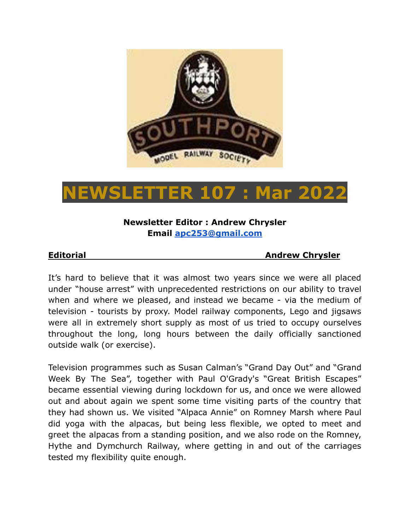

# **NEWSLETTER 107 : Mar 2022**

## **Newsletter Editor : Andrew Chrysler Email [apc253@gmail.com](mailto:apc253@gmail.com)**

#### **Editorial Andrew Chrysler**

It's hard to believe that it was almost two years since we were all placed under "house arrest" with unprecedented restrictions on our ability to travel when and where we pleased, and instead we became - via the medium of television - tourists by proxy. Model railway components, Lego and jigsaws were all in extremely short supply as most of us tried to occupy ourselves throughout the long, long hours between the daily officially sanctioned outside walk (or exercise).

Television programmes such as Susan Calman's "Grand Day Out" and "Grand Week By The Sea", together with Paul O'Grady's "Great British Escapes" became essential viewing during lockdown for us, and once we were allowed out and about again we spent some time visiting parts of the country that they had shown us. We visited "Alpaca Annie" on Romney Marsh where Paul did yoga with the alpacas, but being less flexible, we opted to meet and greet the alpacas from a standing position, and we also rode on the Romney, Hythe and Dymchurch Railway, where getting in and out of the carriages tested my flexibility quite enough.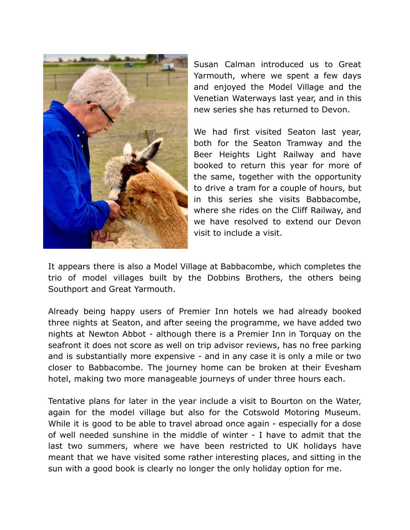

Susan Calman introduced us to Great Yarmouth, where we spent a few days and enjoyed the Model Village and the Venetian Waterways last year, and in this new series she has returned to Devon.

We had first visited Seaton last year, both for the Seaton Tramway and the Beer Heights Light Railway and have booked to return this year for more of the same, together with the opportunity to drive a tram for a couple of hours, but in this series she visits Babbacombe, where she rides on the Cliff Railway, and we have resolved to extend our Devon visit to include a visit.

It appears there is also a Model Village at Babbacombe, which completes the trio of model villages built by the Dobbins Brothers, the others being Southport and Great Yarmouth.

Already being happy users of Premier Inn hotels we had already booked three nights at Seaton, and after seeing the programme, we have added two nights at Newton Abbot - although there is a Premier Inn in Torquay on the seafront it does not score as well on trip advisor reviews, has no free parking and is substantially more expensive - and in any case it is only a mile or two closer to Babbacombe. The journey home can be broken at their Evesham hotel, making two more manageable journeys of under three hours each.

Tentative plans for later in the year include a visit to Bourton on the Water, again for the model village but also for the Cotswold Motoring Museum. While it is good to be able to travel abroad once again - especially for a dose of well needed sunshine in the middle of winter - I have to admit that the last two summers, where we have been restricted to UK holidays have meant that we have visited some rather interesting places, and sitting in the sun with a good book is clearly no longer the only holiday option for me.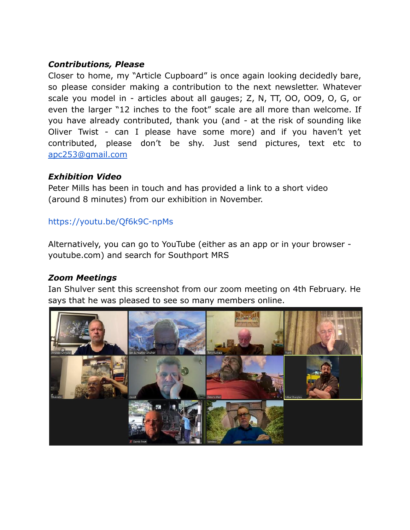#### *Contributions, Please*

Closer to home, my "Article Cupboard" is once again looking decidedly bare, so please consider making a contribution to the next newsletter. Whatever scale you model in - articles about all gauges; Z, N, TT, OO, OO9, O, G, or even the larger "12 inches to the foot" scale are all more than welcome. If you have already contributed, thank you (and - at the risk of sounding like Oliver Twist - can I please have some more) and if you haven't yet contributed, please don't be shy. Just send pictures, text etc to [apc253@gmail.com](mailto:apc253@gmail.com)

#### *Exhibition Video*

Peter Mills has been in touch and has provided a link to a short video (around 8 minutes) from our exhibition in November.

#### <https://youtu.be/Qf6k9C-npMs>

Alternatively, you can go to YouTube (either as an app or in your browser youtube.com) and search for Southport MRS

#### *Zoom Meetings*

Ian Shulver sent this screenshot from our zoom meeting on 4th February. He says that he was pleased to see so many members online.

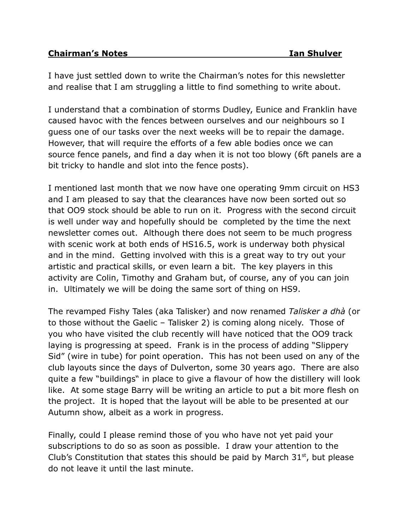I have just settled down to write the Chairman's notes for this newsletter and realise that I am struggling a little to find something to write about.

I understand that a combination of storms Dudley, Eunice and Franklin have caused havoc with the fences between ourselves and our neighbours so I guess one of our tasks over the next weeks will be to repair the damage. However, that will require the efforts of a few able bodies once we can source fence panels, and find a day when it is not too blowy (6ft panels are a bit tricky to handle and slot into the fence posts).

I mentioned last month that we now have one operating 9mm circuit on HS3 and I am pleased to say that the clearances have now been sorted out so that OO9 stock should be able to run on it. Progress with the second circuit is well under way and hopefully should be completed by the time the next newsletter comes out. Although there does not seem to be much progress with scenic work at both ends of HS16.5, work is underway both physical and in the mind. Getting involved with this is a great way to try out your artistic and practical skills, or even learn a bit. The key players in this activity are Colin, Timothy and Graham but, of course, any of you can join in. Ultimately we will be doing the same sort of thing on HS9.

The revamped Fishy Tales (aka Talisker) and now renamed *Talisker a dhà* (or to those without the Gaelic – Talisker 2) is coming along nicely. Those of you who have visited the club recently will have noticed that the OO9 track laying is progressing at speed. Frank is in the process of adding "Slippery Sid" (wire in tube) for point operation. This has not been used on any of the club layouts since the days of Dulverton, some 30 years ago. There are also quite a few "buildings" in place to give a flavour of how the distillery will look like. At some stage Barry will be writing an article to put a bit more flesh on the project. It is hoped that the layout will be able to be presented at our Autumn show, albeit as a work in progress.

Finally, could I please remind those of you who have not yet paid your subscriptions to do so as soon as possible. I draw your attention to the Club's Constitution that states this should be paid by March  $31<sup>st</sup>$ , but please do not leave it until the last minute.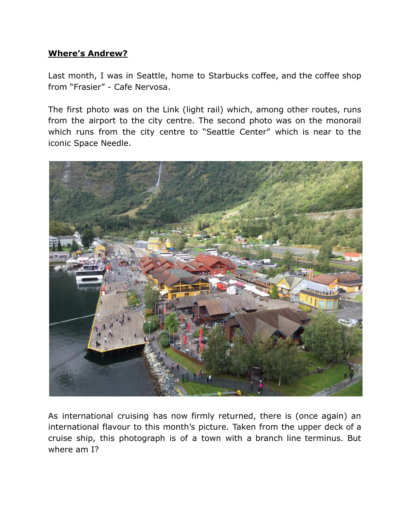### **Where's Andrew?**

Last month, I was in Seattle, home to Starbucks coffee, and the coffee shop from "Frasier" - Cafe Nervosa.

The first photo was on the Link (light rail) which, among other routes, runs from the airport to the city centre. The second photo was on the monorail which runs from the city centre to "Seattle Center" which is near to the iconic Space Needle.



As international cruising has now firmly returned, there is (once again) an international flavour to this month's picture. Taken from the upper deck of a cruise ship, this photograph is of a town with a branch line terminus. But where am I?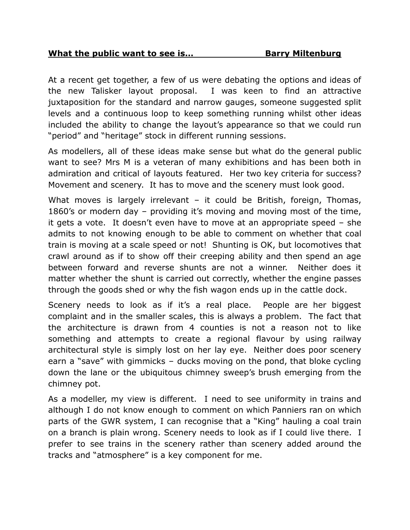At a recent get together, a few of us were debating the options and ideas of the new Talisker layout proposal. I was keen to find an attractive juxtaposition for the standard and narrow gauges, someone suggested split levels and a continuous loop to keep something running whilst other ideas included the ability to change the layout's appearance so that we could run "period" and "heritage" stock in different running sessions.

As modellers, all of these ideas make sense but what do the general public want to see? Mrs M is a veteran of many exhibitions and has been both in admiration and critical of layouts featured. Her two key criteria for success? Movement and scenery. It has to move and the scenery must look good.

What moves is largely irrelevant – it could be British, foreign, Thomas, 1860's or modern day – providing it's moving and moving most of the time, it gets a vote. It doesn't even have to move at an appropriate speed – she admits to not knowing enough to be able to comment on whether that coal train is moving at a scale speed or not! Shunting is OK, but locomotives that crawl around as if to show off their creeping ability and then spend an age between forward and reverse shunts are not a winner. Neither does it matter whether the shunt is carried out correctly, whether the engine passes through the goods shed or why the fish wagon ends up in the cattle dock.

Scenery needs to look as if it's a real place. People are her biggest complaint and in the smaller scales, this is always a problem. The fact that the architecture is drawn from 4 counties is not a reason not to like something and attempts to create a regional flavour by using railway architectural style is simply lost on her lay eye. Neither does poor scenery earn a "save" with gimmicks – ducks moving on the pond, that bloke cycling down the lane or the ubiquitous chimney sweep's brush emerging from the chimney pot.

As a modeller, my view is different. I need to see uniformity in trains and although I do not know enough to comment on which Panniers ran on which parts of the GWR system, I can recognise that a "King" hauling a coal train on a branch is plain wrong. Scenery needs to look as if I could live there. I prefer to see trains in the scenery rather than scenery added around the tracks and "atmosphere" is a key component for me.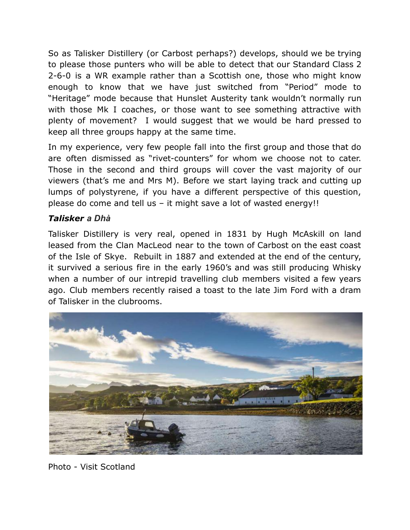So as Talisker Distillery (or Carbost perhaps?) develops, should we be trying to please those punters who will be able to detect that our Standard Class 2 2-6-0 is a WR example rather than a Scottish one, those who might know enough to know that we have just switched from "Period" mode to "Heritage" mode because that Hunslet Austerity tank wouldn't normally run with those Mk I coaches, or those want to see something attractive with plenty of movement? I would suggest that we would be hard pressed to keep all three groups happy at the same time.

In my experience, very few people fall into the first group and those that do are often dismissed as "rivet-counters" for whom we choose not to cater. Those in the second and third groups will cover the vast majority of our viewers (that's me and Mrs M). Before we start laying track and cutting up lumps of polystyrene, if you have a different perspective of this question, please do come and tell us – it might save a lot of wasted energy!!

# *Talisker a Dhà*

Talisker Distillery is very real, opened in 1831 by Hugh McAskill on land leased from the Clan MacLeod near to the town of Carbost on the east coast of the Isle of Skye. Rebuilt in 1887 and extended at the end of the century, it survived a serious fire in the early 1960's and was still producing Whisky when a number of our intrepid travelling club members visited a few years ago. Club members recently raised a toast to the late Jim Ford with a dram of Talisker in the clubrooms.



Photo - Visit Scotland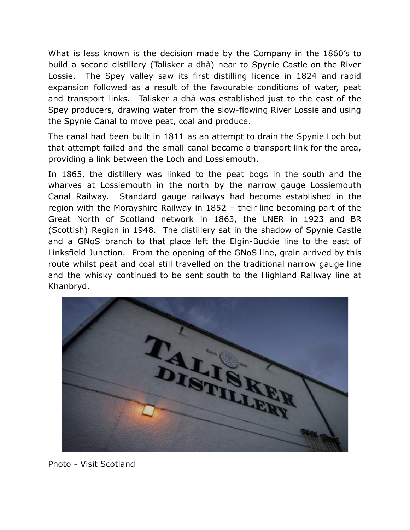What is less known is the decision made by the Company in the 1860's to build a second distillery (Talisker a dhà) near to Spynie Castle on the River Lossie. The Spey valley saw its first distilling licence in 1824 and rapid expansion followed as a result of the favourable conditions of water, peat and transport links. Talisker a dhà was established just to the east of the Spey producers, drawing water from the slow-flowing River Lossie and using the Spynie Canal to move peat, coal and produce.

The canal had been built in 1811 as an attempt to drain the Spynie Loch but that attempt failed and the small canal became a transport link for the area, providing a link between the Loch and Lossiemouth.

In 1865, the distillery was linked to the peat bogs in the south and the wharves at Lossiemouth in the north by the narrow gauge Lossiemouth Canal Railway. Standard gauge railways had become established in the region with the Morayshire Railway in 1852 – their line becoming part of the Great North of Scotland network in 1863, the LNER in 1923 and BR (Scottish) Region in 1948. The distillery sat in the shadow of Spynie Castle and a GNoS branch to that place left the Elgin-Buckie line to the east of Linksfield Junction. From the opening of the GNoS line, grain arrived by this route whilst peat and coal still travelled on the traditional narrow gauge line and the whisky continued to be sent south to the Highland Railway line at Khanbryd.



Photo - Visit Scotland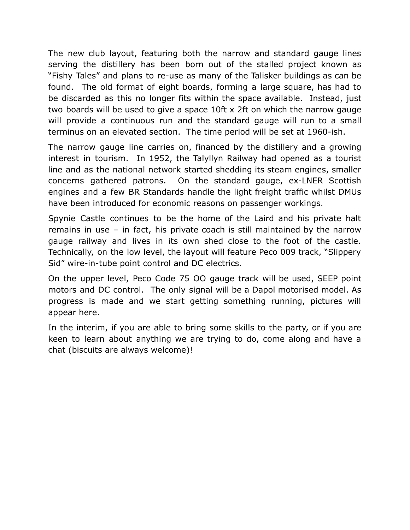The new club layout, featuring both the narrow and standard gauge lines serving the distillery has been born out of the stalled project known as "Fishy Tales" and plans to re-use as many of the Talisker buildings as can be found. The old format of eight boards, forming a large square, has had to be discarded as this no longer fits within the space available. Instead, just two boards will be used to give a space 10ft x 2ft on which the narrow gauge will provide a continuous run and the standard gauge will run to a small terminus on an elevated section. The time period will be set at 1960-ish.

The narrow gauge line carries on, financed by the distillery and a growing interest in tourism. In 1952, the Talyllyn Railway had opened as a tourist line and as the national network started shedding its steam engines, smaller concerns gathered patrons. On the standard gauge, ex-LNER Scottish engines and a few BR Standards handle the light freight traffic whilst DMUs have been introduced for economic reasons on passenger workings.

Spynie Castle continues to be the home of the Laird and his private halt remains in use – in fact, his private coach is still maintained by the narrow gauge railway and lives in its own shed close to the foot of the castle. Technically, on the low level, the layout will feature Peco 009 track, "Slippery Sid" wire-in-tube point control and DC electrics.

On the upper level, Peco Code 75 OO gauge track will be used, SEEP point motors and DC control. The only signal will be a Dapol motorised model. As progress is made and we start getting something running, pictures will appear here.

In the interim, if you are able to bring some skills to the party, or if you are keen to learn about anything we are trying to do, come along and have a chat (biscuits are always welcome)!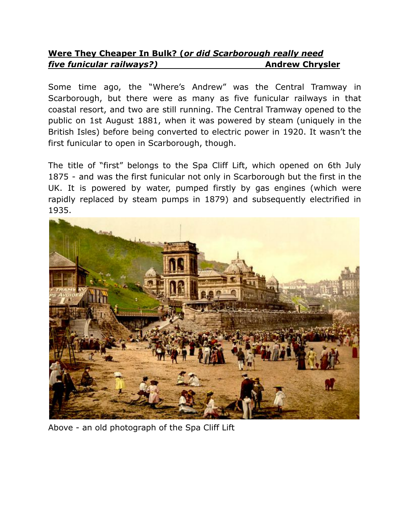# **Were They Cheaper In Bulk? (***or did Scarborough really need five funicular railways?)* **Andrew Chrysler**

Some time ago, the "Where's Andrew" was the Central Tramway in Scarborough, but there were as many as five funicular railways in that coastal resort, and two are still running. The Central Tramway opened to the public on 1st August 1881, when it was powered by steam (uniquely in the British Isles) before being converted to electric power in 1920. It wasn't the first funicular to open in Scarborough, though.

The title of "first" belongs to the Spa Cliff Lift, which opened on 6th July 1875 - and was the first funicular not only in Scarborough but the first in the UK. It is powered by water, pumped firstly by gas engines (which were rapidly replaced by steam pumps in 1879) and subsequently electrified in 1935.



Above - an old photograph of the Spa Cliff Lift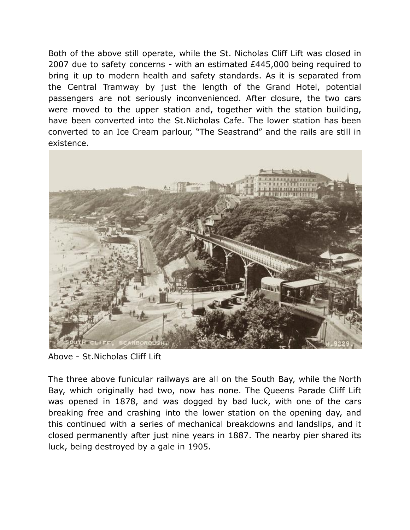Both of the above still operate, while the St. Nicholas Cliff Lift was closed in 2007 due to safety concerns - with an estimated £445,000 being required to bring it up to modern health and safety standards. As it is separated from the Central Tramway by just the length of the Grand Hotel, potential passengers are not seriously inconvenienced. After closure, the two cars were moved to the upper station and, together with the station building, have been converted into the St.Nicholas Cafe. The lower station has been converted to an Ice Cream parlour, "The Seastrand" and the rails are still in existence.



Above - St.Nicholas Cliff Lift

The three above funicular railways are all on the South Bay, while the North Bay, which originally had two, now has none. The Queens Parade Cliff Lift was opened in 1878, and was dogged by bad luck, with one of the cars breaking free and crashing into the lower station on the opening day, and this continued with a series of mechanical breakdowns and landslips, and it closed permanently after just nine years in 1887. The nearby pier shared its luck, being destroyed by a gale in 1905.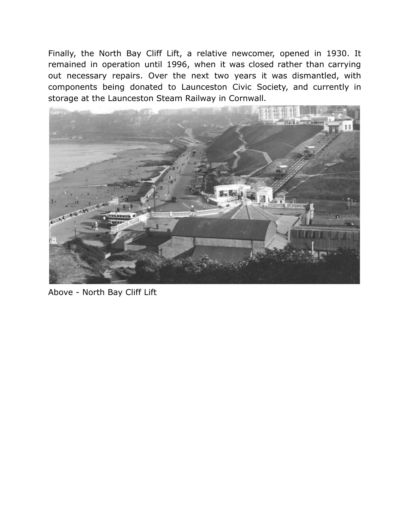Finally, the North Bay Cliff Lift, a relative newcomer, opened in 1930. It remained in operation until 1996, when it was closed rather than carrying out necessary repairs. Over the next two years it was dismantled, with components being donated to Launceston Civic Society, and currently in storage at the Launceston Steam Railway in Cornwall.



Above - North Bay Cliff Lift